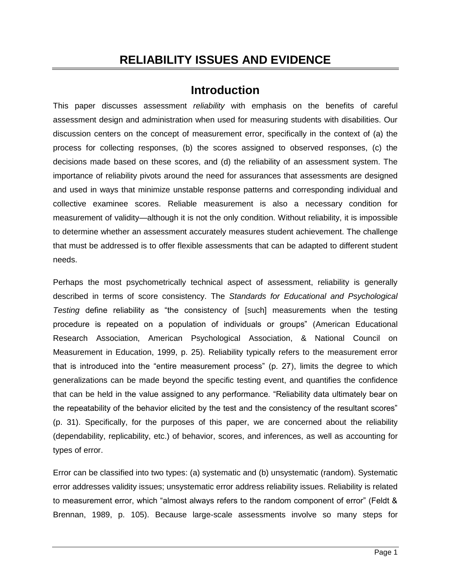# **RELIABILITY ISSUES AND EVIDENCE**

## **Introduction**

This paper discusses assessment *reliability* with emphasis on the benefits of careful assessment design and administration when used for measuring students with disabilities. Our discussion centers on the concept of measurement error, specifically in the context of (a) the process for collecting responses, (b) the scores assigned to observed responses, (c) the decisions made based on these scores, and (d) the reliability of an assessment system. The importance of reliability pivots around the need for assurances that assessments are designed and used in ways that minimize unstable response patterns and corresponding individual and collective examinee scores. Reliable measurement is also a necessary condition for measurement of validity—although it is not the only condition. Without reliability, it is impossible to determine whether an assessment accurately measures student achievement. The challenge that must be addressed is to offer flexible assessments that can be adapted to different student needs.

Perhaps the most psychometrically technical aspect of assessment, reliability is generally described in terms of score consistency. The *Standards for Educational and Psychological Testing* define reliability as "the consistency of [such] measurements when the testing procedure is repeated on a population of individuals or groups" (American Educational Research Association, American Psychological Association, & National Council on Measurement in Education, 1999, p. 25). Reliability typically refers to the measurement error that is introduced into the "entire measurement process" (p. 27), limits the degree to which generalizations can be made beyond the specific testing event, and quantifies the confidence that can be held in the value assigned to any performance. "Reliability data ultimately bear on the repeatability of the behavior elicited by the test and the consistency of the resultant scores" (p. 31). Specifically, for the purposes of this paper, we are concerned about the reliability (dependability, replicability, etc.) of behavior, scores, and inferences, as well as accounting for types of error.

Error can be classified into two types: (a) systematic and (b) unsystematic (random). Systematic error addresses validity issues; unsystematic error address reliability issues. Reliability is related to measurement error, which "almost always refers to the random component of error" (Feldt & Brennan, 1989, p. 105). Because large-scale assessments involve so many steps for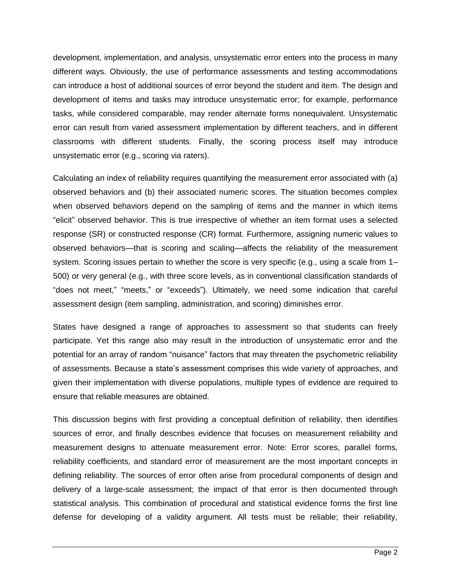development, implementation, and analysis, unsystematic error enters into the process in many different ways. Obviously, the use of performance assessments and testing accommodations can introduce a host of additional sources of error beyond the student and item. The design and development of items and tasks may introduce unsystematic error; for example, performance tasks, while considered comparable, may render alternate forms nonequivalent. Unsystematic error can result from varied assessment implementation by different teachers, and in different classrooms with different students. Finally, the scoring process itself may introduce unsystematic error (e.g., scoring via raters).

Calculating an index of reliability requires quantifying the measurement error associated with (a) observed behaviors and (b) their associated numeric scores. The situation becomes complex when observed behaviors depend on the sampling of items and the manner in which items "elicit" observed behavior. This is true irrespective of whether an item format uses a selected response (SR) or constructed response (CR) format. Furthermore, assigning numeric values to observed behaviors—that is scoring and scaling—affects the reliability of the measurement system. Scoring issues pertain to whether the score is very specific (e.g., using a scale from 1– 500) or very general (e.g., with three score levels, as in conventional classification standards of "does not meet," "meets," or "exceeds"). Ultimately, we need some indication that careful assessment design (item sampling, administration, and scoring) diminishes error.

States have designed a range of approaches to assessment so that students can freely participate. Yet this range also may result in the introduction of unsystematic error and the potential for an array of random "nuisance" factors that may threaten the psychometric reliability of assessments. Because a state's assessment comprises this wide variety of approaches, and given their implementation with diverse populations, multiple types of evidence are required to ensure that reliable measures are obtained.

This discussion begins with first providing a conceptual definition of reliability, then identifies sources of error, and finally describes evidence that focuses on measurement reliability and measurement designs to attenuate measurement error. Note: Error scores, parallel forms, reliability coefficients, and standard error of measurement are the most important concepts in defining reliability. The sources of error often arise from procedural components of design and delivery of a large-scale assessment; the impact of that error is then documented through statistical analysis. This combination of procedural and statistical evidence forms the first line defense for developing of a validity argument. All tests must be reliable; their reliability,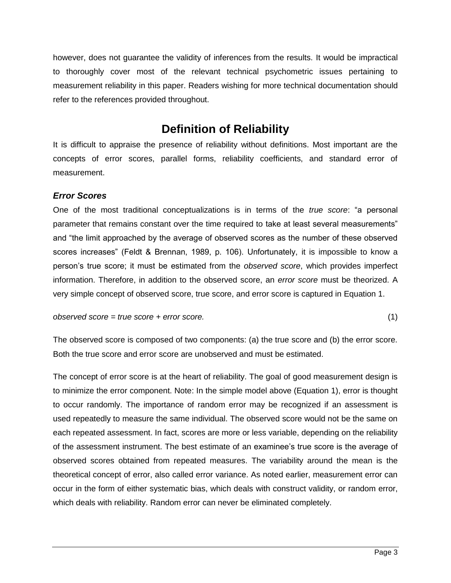however, does not guarantee the validity of inferences from the results. It would be impractical to thoroughly cover most of the relevant technical psychometric issues pertaining to measurement reliability in this paper. Readers wishing for more technical documentation should refer to the references provided throughout.

## **Definition of Reliability**

It is difficult to appraise the presence of reliability without definitions. Most important are the concepts of error scores, parallel forms, reliability coefficients, and standard error of measurement.

## *Error Scores*

One of the most traditional conceptualizations is in terms of the *true score*: "a personal parameter that remains constant over the time required to take at least several measurements" and "the limit approached by the average of observed scores as the number of these observed scores increases" (Feldt & Brennan, 1989, p. 106). Unfortunately, it is impossible to know a person's true score; it must be estimated from the *observed score*, which provides imperfect information. Therefore, in addition to the observed score, an *error score* must be theorized. A very simple concept of observed score, true score, and error score is captured in Equation 1.

*observed score = true score + error score.* (1)

The observed score is composed of two components: (a) the true score and (b) the error score. Both the true score and error score are unobserved and must be estimated.

The concept of error score is at the heart of reliability. The goal of good measurement design is to minimize the error component. Note: In the simple model above (Equation 1), error is thought to occur randomly. The importance of random error may be recognized if an assessment is used repeatedly to measure the same individual. The observed score would not be the same on each repeated assessment. In fact, scores are more or less variable, depending on the reliability of the assessment instrument. The best estimate of an examinee's true score is the average of observed scores obtained from repeated measures. The variability around the mean is the theoretical concept of error, also called error variance. As noted earlier, measurement error can occur in the form of either systematic bias, which deals with construct validity, or random error, which deals with reliability. Random error can never be eliminated completely.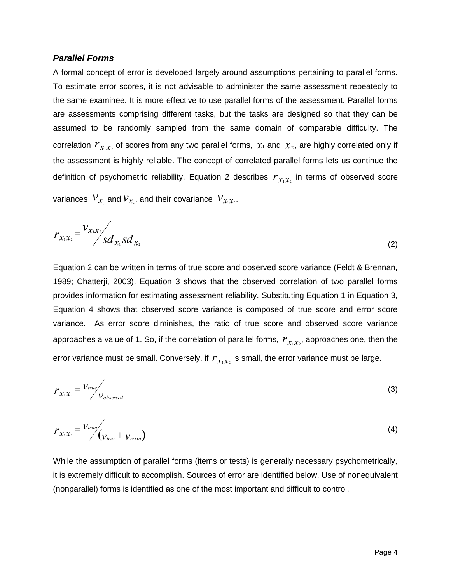### *Parallel Forms*

correlation  $r_{x_ix_i}$  of scores from any two parallel forms,  $x_1$  and  $x_2$ , are highly correlated only if definition of psychometric reliability. Equation 2 describes  $r_{x_1x_2}$  in terms of observed score A formal concept of error is developed largely around assumptions pertaining to parallel forms. To estimate error scores, it is not advisable to administer the same assessment repeatedly to the same examinee. It is more effective to use parallel forms of the assessment. Parallel forms are assessments comprising different tasks, but the tasks are designed so that they can be assumed to be randomly sampled from the same domain of comparable difficulty. The the assessment is highly reliable. The concept of correlated parallel forms lets us continue the

variances  $V_{\mathcal{X}_1}$  and  $V_{\mathcal{X}_2}$ , and their covariance  $V_{\mathcal{X}_i \mathcal{X}_2}$ .

$$
r_{x_1x_2} = \frac{v_{x_1x_2}}{s d_{x_1} s d_{x_2}} \tag{2}
$$

approaches a value of 1. So, if the correlation of parallel forms,  $\,{{r}_{x_1{ x}_2} ,}$  approaches one, then the error variance must be small. Conversely, if  $r_{x_ix_i}$  is small, the error variance must be large. Equation 2 can be written in terms of true score and observed score variance (Feldt & Brennan, 1989; Chatterji, 2003). Equation 3 shows that the observed correlation of two parallel forms provides information for estimating assessment reliability. Substituting Equation 1 in Equation 3, Equation 4 shows that observed score variance is composed of true score and error score variance. As error score diminishes, the ratio of true score and observed score variance

$$
r_{x_1x_2} = \frac{v_{true}}{v_{observed}}
$$
 (3)

$$
r_{x_1x_2} = \frac{v_{true}}{v_{true} + v_{error}} \tag{4}
$$

While the assumption of parallel forms (items or tests) is generally necessary psychometrically, it is extremely difficult to accomplish. Sources of error are identified below. Use of nonequivalent (nonparallel) forms is identified as one of the most important and difficult to control.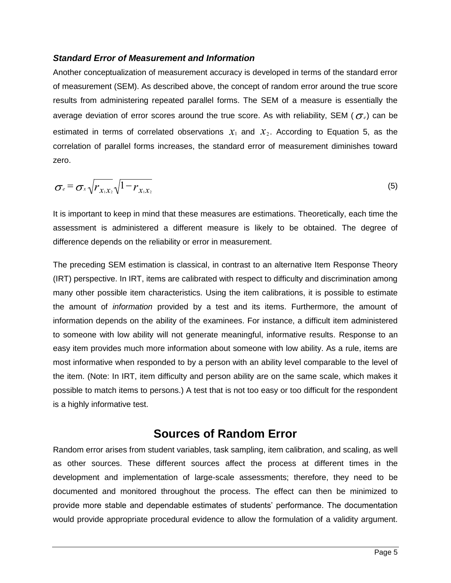### *Standard Error of Measurement and Information*

average deviation of error scores around the true score. As with reliability, SEM ( $\sigma_{\scriptscriptstyle \ell}$ ) can be estimated in terms of correlated observations  $x_1$  and  $x_2$ . According to Equation 5, as the Another conceptualization of measurement accuracy is developed in terms of the standard error of measurement (SEM). As described above, the concept of random error around the true score results from administering repeated parallel forms. The SEM of a measure is essentially the correlation of parallel forms increases, the standard error of measurement diminishes toward zero.

$$
\sigma_e = \sigma_x \sqrt{r_{x_1 x_2}} \sqrt{1 - r_{x_1 x_2}} \tag{5}
$$

It is important to keep in mind that these measures are estimations. Theoretically, each time the assessment is administered a different measure is likely to be obtained. The degree of difference depends on the reliability or error in measurement.

The preceding SEM estimation is classical, in contrast to an alternative Item Response Theory (IRT) perspective. In IRT, items are calibrated with respect to difficulty and discrimination among many other possible item characteristics. Using the item calibrations, it is possible to estimate the amount of *information* provided by a test and its items. Furthermore, the amount of information depends on the ability of the examinees. For instance, a difficult item administered to someone with low ability will not generate meaningful, informative results. Response to an easy item provides much more information about someone with low ability. As a rule, items are most informative when responded to by a person with an ability level comparable to the level of the item. (Note: In IRT, item difficulty and person ability are on the same scale, which makes it possible to match items to persons.) A test that is not too easy or too difficult for the respondent is a highly informative test.

## **Sources of Random Error**

Random error arises from student variables, task sampling, item calibration, and scaling, as well as other sources. These different sources affect the process at different times in the development and implementation of large-scale assessments; therefore, they need to be documented and monitored throughout the process. The effect can then be minimized to provide more stable and dependable estimates of students' performance. The documentation would provide appropriate procedural evidence to allow the formulation of a validity argument.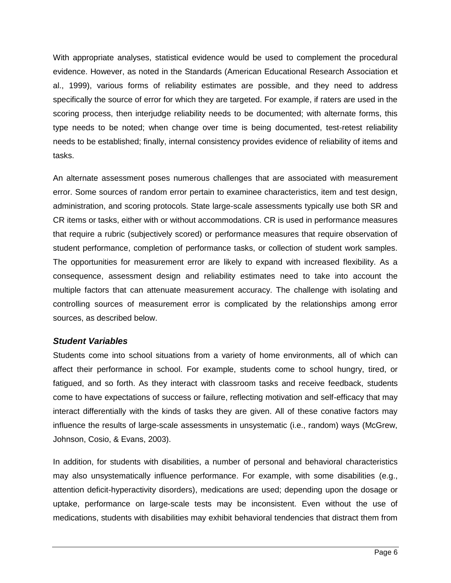With appropriate analyses, statistical evidence would be used to complement the procedural evidence. However, as noted in the Standards (American Educational Research Association et al., 1999), various forms of reliability estimates are possible, and they need to address specifically the source of error for which they are targeted. For example, if raters are used in the scoring process, then interjudge reliability needs to be documented; with alternate forms, this type needs to be noted; when change over time is being documented, test-retest reliability needs to be established; finally, internal consistency provides evidence of reliability of items and tasks.

An alternate assessment poses numerous challenges that are associated with measurement error. Some sources of random error pertain to examinee characteristics, item and test design, administration, and scoring protocols. State large-scale assessments typically use both SR and CR items or tasks, either with or without accommodations. CR is used in performance measures that require a rubric (subjectively scored) or performance measures that require observation of student performance, completion of performance tasks, or collection of student work samples. The opportunities for measurement error are likely to expand with increased flexibility. As a consequence, assessment design and reliability estimates need to take into account the multiple factors that can attenuate measurement accuracy. The challenge with isolating and controlling sources of measurement error is complicated by the relationships among error sources, as described below.

## *Student Variables*

Students come into school situations from a variety of home environments, all of which can affect their performance in school. For example, students come to school hungry, tired, or fatigued, and so forth. As they interact with classroom tasks and receive feedback, students come to have expectations of success or failure, reflecting motivation and self-efficacy that may interact differentially with the kinds of tasks they are given. All of these conative factors may influence the results of large-scale assessments in unsystematic (i.e., random) ways (McGrew, Johnson, Cosio, & Evans, 2003).

In addition, for students with disabilities, a number of personal and behavioral characteristics may also unsystematically influence performance. For example, with some disabilities (e.g., attention deficit-hyperactivity disorders), medications are used; depending upon the dosage or uptake, performance on large-scale tests may be inconsistent. Even without the use of medications, students with disabilities may exhibit behavioral tendencies that distract them from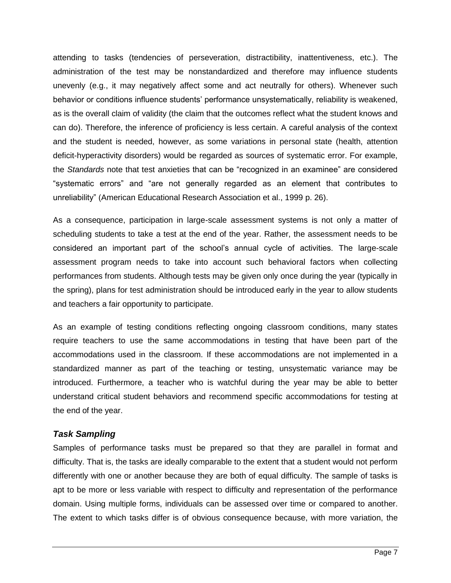attending to tasks (tendencies of perseveration, distractibility, inattentiveness, etc.). The administration of the test may be nonstandardized and therefore may influence students unevenly (e.g., it may negatively affect some and act neutrally for others). Whenever such behavior or conditions influence students' performance unsystematically, reliability is weakened, as is the overall claim of validity (the claim that the outcomes reflect what the student knows and can do). Therefore, the inference of proficiency is less certain. A careful analysis of the context and the student is needed, however, as some variations in personal state (health, attention deficit-hyperactivity disorders) would be regarded as sources of systematic error. For example, the *Standards* note that test anxieties that can be "recognized in an examinee" are considered "systematic errors" and "are not generally regarded as an element that contributes to unreliability" (American Educational Research Association et al., 1999 p. 26).

As a consequence, participation in large-scale assessment systems is not only a matter of scheduling students to take a test at the end of the year. Rather, the assessment needs to be considered an important part of the school's annual cycle of activities. The large-scale assessment program needs to take into account such behavioral factors when collecting performances from students. Although tests may be given only once during the year (typically in the spring), plans for test administration should be introduced early in the year to allow students and teachers a fair opportunity to participate.

As an example of testing conditions reflecting ongoing classroom conditions, many states require teachers to use the same accommodations in testing that have been part of the accommodations used in the classroom. If these accommodations are not implemented in a standardized manner as part of the teaching or testing, unsystematic variance may be introduced. Furthermore, a teacher who is watchful during the year may be able to better understand critical student behaviors and recommend specific accommodations for testing at the end of the year.

## *Task Sampling*

Samples of performance tasks must be prepared so that they are parallel in format and difficulty. That is, the tasks are ideally comparable to the extent that a student would not perform differently with one or another because they are both of equal difficulty. The sample of tasks is apt to be more or less variable with respect to difficulty and representation of the performance domain. Using multiple forms, individuals can be assessed over time or compared to another. The extent to which tasks differ is of obvious consequence because, with more variation, the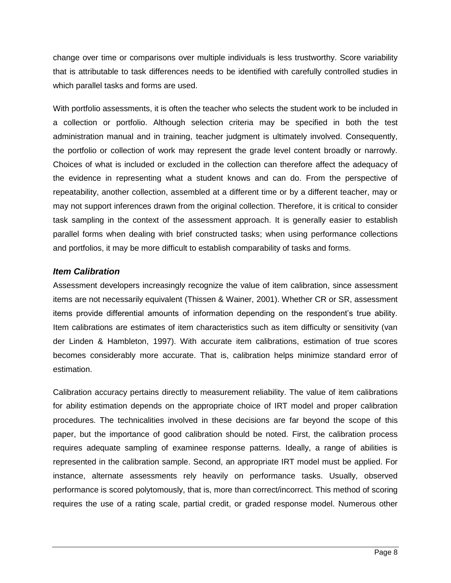change over time or comparisons over multiple individuals is less trustworthy. Score variability that is attributable to task differences needs to be identified with carefully controlled studies in which parallel tasks and forms are used.

With portfolio assessments, it is often the teacher who selects the student work to be included in a collection or portfolio. Although selection criteria may be specified in both the test administration manual and in training, teacher judgment is ultimately involved. Consequently, the portfolio or collection of work may represent the grade level content broadly or narrowly. Choices of what is included or excluded in the collection can therefore affect the adequacy of the evidence in representing what a student knows and can do. From the perspective of repeatability, another collection, assembled at a different time or by a different teacher, may or may not support inferences drawn from the original collection. Therefore, it is critical to consider task sampling in the context of the assessment approach. It is generally easier to establish parallel forms when dealing with brief constructed tasks; when using performance collections and portfolios, it may be more difficult to establish comparability of tasks and forms.

## *Item Calibration*

Assessment developers increasingly recognize the value of item calibration, since assessment items are not necessarily equivalent (Thissen & Wainer, 2001). Whether CR or SR, assessment items provide differential amounts of information depending on the respondent's true ability. Item calibrations are estimates of item characteristics such as item difficulty or sensitivity (van der Linden & Hambleton, 1997). With accurate item calibrations, estimation of true scores becomes considerably more accurate. That is, calibration helps minimize standard error of estimation.

Calibration accuracy pertains directly to measurement reliability. The value of item calibrations for ability estimation depends on the appropriate choice of IRT model and proper calibration procedures. The technicalities involved in these decisions are far beyond the scope of this paper, but the importance of good calibration should be noted. First, the calibration process requires adequate sampling of examinee response patterns. Ideally, a range of abilities is represented in the calibration sample. Second, an appropriate IRT model must be applied. For instance, alternate assessments rely heavily on performance tasks. Usually, observed performance is scored polytomously, that is, more than correct/incorrect. This method of scoring requires the use of a rating scale, partial credit, or graded response model. Numerous other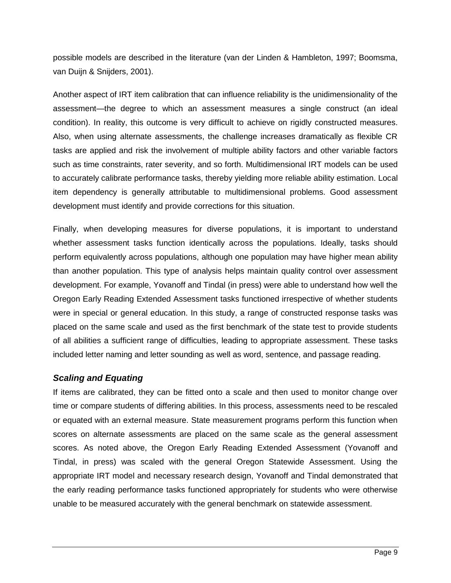possible models are described in the literature (van der Linden & Hambleton, 1997; Boomsma, van Duijn & Snijders, 2001).

Another aspect of IRT item calibration that can influence reliability is the unidimensionality of the assessment—the degree to which an assessment measures a single construct (an ideal condition). In reality, this outcome is very difficult to achieve on rigidly constructed measures. Also, when using alternate assessments, the challenge increases dramatically as flexible CR tasks are applied and risk the involvement of multiple ability factors and other variable factors such as time constraints, rater severity, and so forth. Multidimensional IRT models can be used to accurately calibrate performance tasks, thereby yielding more reliable ability estimation. Local item dependency is generally attributable to multidimensional problems. Good assessment development must identify and provide corrections for this situation.

Finally, when developing measures for diverse populations, it is important to understand whether assessment tasks function identically across the populations. Ideally, tasks should perform equivalently across populations, although one population may have higher mean ability than another population. This type of analysis helps maintain quality control over assessment development. For example, Yovanoff and Tindal (in press) were able to understand how well the Oregon Early Reading Extended Assessment tasks functioned irrespective of whether students were in special or general education. In this study, a range of constructed response tasks was placed on the same scale and used as the first benchmark of the state test to provide students of all abilities a sufficient range of difficulties, leading to appropriate assessment. These tasks included letter naming and letter sounding as well as word, sentence, and passage reading.

## *Scaling and Equating*

If items are calibrated, they can be fitted onto a scale and then used to monitor change over time or compare students of differing abilities. In this process, assessments need to be rescaled or equated with an external measure. State measurement programs perform this function when scores on alternate assessments are placed on the same scale as the general assessment scores. As noted above, the Oregon Early Reading Extended Assessment (Yovanoff and Tindal, in press) was scaled with the general Oregon Statewide Assessment. Using the appropriate IRT model and necessary research design, Yovanoff and Tindal demonstrated that the early reading performance tasks functioned appropriately for students who were otherwise unable to be measured accurately with the general benchmark on statewide assessment.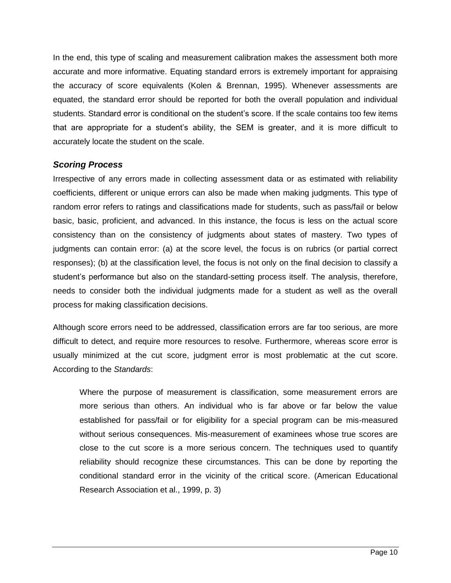In the end, this type of scaling and measurement calibration makes the assessment both more accurate and more informative. Equating standard errors is extremely important for appraising the accuracy of score equivalents (Kolen & Brennan, 1995). Whenever assessments are equated, the standard error should be reported for both the overall population and individual students. Standard error is conditional on the student's score. If the scale contains too few items that are appropriate for a student's ability, the SEM is greater, and it is more difficult to accurately locate the student on the scale.

### *Scoring Process*

Irrespective of any errors made in collecting assessment data or as estimated with reliability coefficients, different or unique errors can also be made when making judgments. This type of random error refers to ratings and classifications made for students, such as pass/fail or below basic, basic, proficient, and advanced. In this instance, the focus is less on the actual score consistency than on the consistency of judgments about states of mastery. Two types of judgments can contain error: (a) at the score level, the focus is on rubrics (or partial correct responses); (b) at the classification level, the focus is not only on the final decision to classify a student's performance but also on the standard-setting process itself. The analysis, therefore, needs to consider both the individual judgments made for a student as well as the overall process for making classification decisions.

Although score errors need to be addressed, classification errors are far too serious, are more difficult to detect, and require more resources to resolve. Furthermore, whereas score error is usually minimized at the cut score, judgment error is most problematic at the cut score. According to the *Standards*:

Where the purpose of measurement is classification, some measurement errors are more serious than others. An individual who is far above or far below the value established for pass/fail or for eligibility for a special program can be mis-measured without serious consequences. Mis-measurement of examinees whose true scores are close to the cut score is a more serious concern. The techniques used to quantify reliability should recognize these circumstances. This can be done by reporting the conditional standard error in the vicinity of the critical score. (American Educational Research Association et al., 1999, p. 3)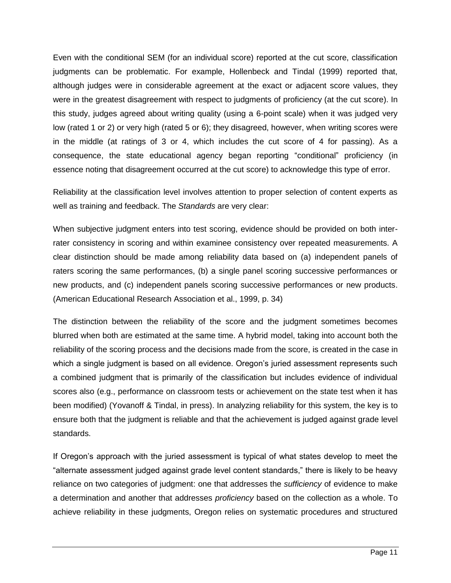Even with the conditional SEM (for an individual score) reported at the cut score, classification judgments can be problematic. For example, Hollenbeck and Tindal (1999) reported that, although judges were in considerable agreement at the exact or adjacent score values, they were in the greatest disagreement with respect to judgments of proficiency (at the cut score). In this study, judges agreed about writing quality (using a 6-point scale) when it was judged very low (rated 1 or 2) or very high (rated 5 or 6); they disagreed, however, when writing scores were in the middle (at ratings of 3 or 4, which includes the cut score of 4 for passing). As a consequence, the state educational agency began reporting "conditional" proficiency (in essence noting that disagreement occurred at the cut score) to acknowledge this type of error.

Reliability at the classification level involves attention to proper selection of content experts as well as training and feedback. The *Standards* are very clear:

When subjective judgment enters into test scoring, evidence should be provided on both interrater consistency in scoring and within examinee consistency over repeated measurements. A clear distinction should be made among reliability data based on (a) independent panels of raters scoring the same performances, (b) a single panel scoring successive performances or new products, and (c) independent panels scoring successive performances or new products. (American Educational Research Association et al., 1999, p. 34)

The distinction between the reliability of the score and the judgment sometimes becomes blurred when both are estimated at the same time. A hybrid model, taking into account both the reliability of the scoring process and the decisions made from the score, is created in the case in which a single judgment is based on all evidence. Oregon's juried assessment represents such a combined judgment that is primarily of the classification but includes evidence of individual scores also (e.g., performance on classroom tests or achievement on the state test when it has been modified) (Yovanoff & Tindal, in press). In analyzing reliability for this system, the key is to ensure both that the judgment is reliable and that the achievement is judged against grade level standards.

If Oregon's approach with the juried assessment is typical of what states develop to meet the "alternate assessment judged against grade level content standards," there is likely to be heavy reliance on two categories of judgment: one that addresses the *sufficiency* of evidence to make a determination and another that addresses *proficiency* based on the collection as a whole. To achieve reliability in these judgments, Oregon relies on systematic procedures and structured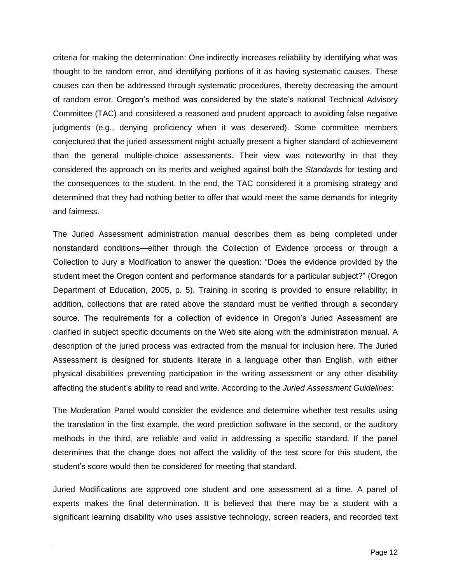criteria for making the determination: One indirectly increases reliability by identifying what was thought to be random error, and identifying portions of it as having systematic causes. These causes can then be addressed through systematic procedures, thereby decreasing the amount of random error. Oregon's method was considered by the state's national Technical Advisory Committee (TAC) and considered a reasoned and prudent approach to avoiding false negative judgments (e.g., denying proficiency when it was deserved). Some committee members conjectured that the juried assessment might actually present a higher standard of achievement than the general multiple-choice assessments. Their view was noteworthy in that they considered the approach on its merits and weighed against both the *Standards* for testing and the consequences to the student. In the end, the TAC considered it a promising strategy and determined that they had nothing better to offer that would meet the same demands for integrity and fairness.

The Juried Assessment administration manual describes them as being completed under nonstandard conditions—either through the Collection of Evidence process or through a Collection to Jury a Modification to answer the question: "Does the evidence provided by the student meet the Oregon content and performance standards for a particular subject?" (Oregon Department of Education, 2005, p. 5). Training in scoring is provided to ensure reliability; in addition, collections that are rated above the standard must be verified through a secondary source. The requirements for a collection of evidence in Oregon's Juried Assessment are clarified in subject specific documents on the Web site along with the administration manual. A description of the juried process was extracted from the manual for inclusion here. The Juried Assessment is designed for students literate in a language other than English, with either physical disabilities preventing participation in the writing assessment or any other disability affecting the student's ability to read and write. According to the *Juried Assessment Guidelines*:

The Moderation Panel would consider the evidence and determine whether test results using the translation in the first example, the word prediction software in the second, or the auditory methods in the third, are reliable and valid in addressing a specific standard. If the panel determines that the change does not affect the validity of the test score for this student, the student's score would then be considered for meeting that standard.

Juried Modifications are approved one student and one assessment at a time. A panel of experts makes the final determination. It is believed that there may be a student with a significant learning disability who uses assistive technology, screen readers, and recorded text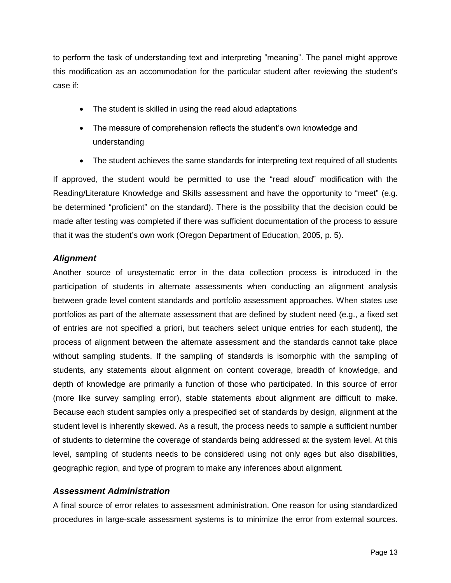to perform the task of understanding text and interpreting "meaning". The panel might approve this modification as an accommodation for the particular student after reviewing the student's case if:

- The student is skilled in using the read aloud adaptations
- The measure of comprehension reflects the student's own knowledge and understanding
- The student achieves the same standards for interpreting text required of all students

If approved, the student would be permitted to use the "read aloud" modification with the Reading/Literature Knowledge and Skills assessment and have the opportunity to "meet" (e.g. be determined "proficient" on the standard). There is the possibility that the decision could be made after testing was completed if there was sufficient documentation of the process to assure that it was the student's own work (Oregon Department of Education, 2005, p. 5).

## *Alignment*

Another source of unsystematic error in the data collection process is introduced in the participation of students in alternate assessments when conducting an alignment analysis between grade level content standards and portfolio assessment approaches. When states use portfolios as part of the alternate assessment that are defined by student need (e.g., a fixed set of entries are not specified a priori, but teachers select unique entries for each student), the process of alignment between the alternate assessment and the standards cannot take place without sampling students. If the sampling of standards is isomorphic with the sampling of students, any statements about alignment on content coverage, breadth of knowledge, and depth of knowledge are primarily a function of those who participated. In this source of error (more like survey sampling error), stable statements about alignment are difficult to make. Because each student samples only a prespecified set of standards by design, alignment at the student level is inherently skewed. As a result, the process needs to sample a sufficient number of students to determine the coverage of standards being addressed at the system level. At this level, sampling of students needs to be considered using not only ages but also disabilities, geographic region, and type of program to make any inferences about alignment.

## *Assessment Administration*

A final source of error relates to assessment administration. One reason for using standardized procedures in large-scale assessment systems is to minimize the error from external sources.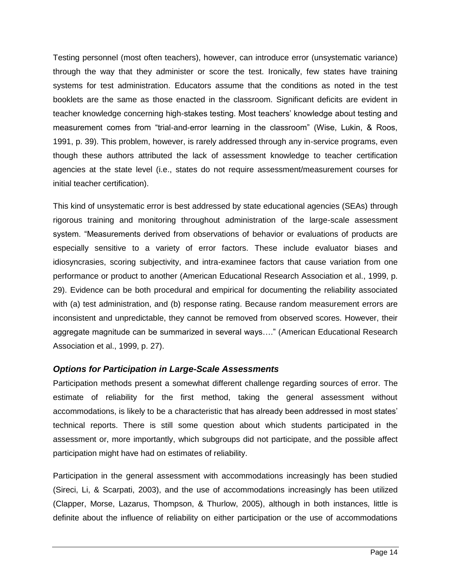Testing personnel (most often teachers), however, can introduce error (unsystematic variance) through the way that they administer or score the test. Ironically, few states have training systems for test administration. Educators assume that the conditions as noted in the test booklets are the same as those enacted in the classroom. Significant deficits are evident in teacher knowledge concerning high-stakes testing. Most teachers' knowledge about testing and measurement comes from "trial-and-error learning in the classroom" (Wise, Lukin, & Roos, 1991, p. 39). This problem, however, is rarely addressed through any in-service programs, even though these authors attributed the lack of assessment knowledge to teacher certification agencies at the state level (i.e., states do not require assessment/measurement courses for initial teacher certification).

This kind of unsystematic error is best addressed by state educational agencies (SEAs) through rigorous training and monitoring throughout administration of the large-scale assessment system. "Measurements derived from observations of behavior or evaluations of products are especially sensitive to a variety of error factors. These include evaluator biases and idiosyncrasies, scoring subjectivity, and intra-examinee factors that cause variation from one performance or product to another (American Educational Research Association et al., 1999, p. 29). Evidence can be both procedural and empirical for documenting the reliability associated with (a) test administration, and (b) response rating. Because random measurement errors are inconsistent and unpredictable, they cannot be removed from observed scores. However, their aggregate magnitude can be summarized in several ways…." (American Educational Research Association et al., 1999, p. 27).

## *Options for Participation in Large-Scale Assessments*

Participation methods present a somewhat different challenge regarding sources of error. The estimate of reliability for the first method, taking the general assessment without accommodations, is likely to be a characteristic that has already been addressed in most states' technical reports. There is still some question about which students participated in the assessment or, more importantly, which subgroups did not participate, and the possible affect participation might have had on estimates of reliability.

Participation in the general assessment with accommodations increasingly has been studied (Sireci, Li, & Scarpati, 2003), and the use of accommodations increasingly has been utilized (Clapper, Morse, Lazarus, Thompson, & Thurlow, 2005), although in both instances, little is definite about the influence of reliability on either participation or the use of accommodations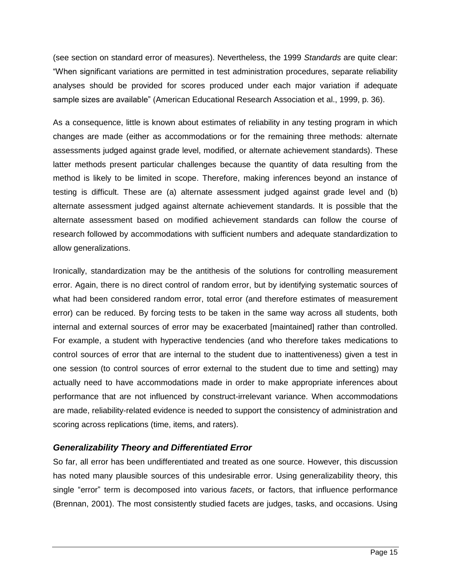(see section on standard error of measures). Nevertheless, the 1999 *Standards* are quite clear: "When significant variations are permitted in test administration procedures, separate reliability analyses should be provided for scores produced under each major variation if adequate sample sizes are available" (American Educational Research Association et al., 1999, p. 36).

As a consequence, little is known about estimates of reliability in any testing program in which changes are made (either as accommodations or for the remaining three methods: alternate assessments judged against grade level, modified, or alternate achievement standards). These latter methods present particular challenges because the quantity of data resulting from the method is likely to be limited in scope. Therefore, making inferences beyond an instance of testing is difficult. These are (a) alternate assessment judged against grade level and (b) alternate assessment judged against alternate achievement standards. It is possible that the alternate assessment based on modified achievement standards can follow the course of research followed by accommodations with sufficient numbers and adequate standardization to allow generalizations.

Ironically, standardization may be the antithesis of the solutions for controlling measurement error. Again, there is no direct control of random error, but by identifying systematic sources of what had been considered random error, total error (and therefore estimates of measurement error) can be reduced. By forcing tests to be taken in the same way across all students, both internal and external sources of error may be exacerbated [maintained] rather than controlled. For example, a student with hyperactive tendencies (and who therefore takes medications to control sources of error that are internal to the student due to inattentiveness) given a test in one session (to control sources of error external to the student due to time and setting) may actually need to have accommodations made in order to make appropriate inferences about performance that are not influenced by construct-irrelevant variance. When accommodations are made, reliability-related evidence is needed to support the consistency of administration and scoring across replications (time, items, and raters).

## *Generalizability Theory and Differentiated Error*

So far, all error has been undifferentiated and treated as one source. However, this discussion has noted many plausible sources of this undesirable error. Using generalizability theory, this single "error" term is decomposed into various *facets*, or factors, that influence performance (Brennan, 2001). The most consistently studied facets are judges, tasks, and occasions. Using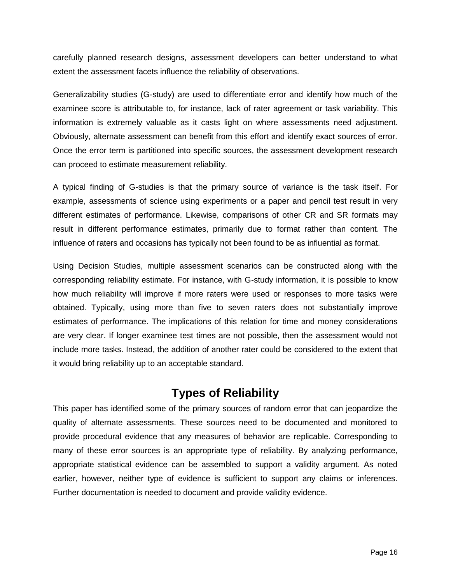carefully planned research designs, assessment developers can better understand to what extent the assessment facets influence the reliability of observations.

Generalizability studies (G-study) are used to differentiate error and identify how much of the examinee score is attributable to, for instance, lack of rater agreement or task variability. This information is extremely valuable as it casts light on where assessments need adjustment. Obviously, alternate assessment can benefit from this effort and identify exact sources of error. Once the error term is partitioned into specific sources, the assessment development research can proceed to estimate measurement reliability.

A typical finding of G-studies is that the primary source of variance is the task itself. For example, assessments of science using experiments or a paper and pencil test result in very different estimates of performance. Likewise, comparisons of other CR and SR formats may result in different performance estimates, primarily due to format rather than content. The influence of raters and occasions has typically not been found to be as influential as format.

Using Decision Studies, multiple assessment scenarios can be constructed along with the corresponding reliability estimate. For instance, with G-study information, it is possible to know how much reliability will improve if more raters were used or responses to more tasks were obtained. Typically, using more than five to seven raters does not substantially improve estimates of performance. The implications of this relation for time and money considerations are very clear. If longer examinee test times are not possible, then the assessment would not include more tasks. Instead, the addition of another rater could be considered to the extent that it would bring reliability up to an acceptable standard.

## **Types of Reliability**

This paper has identified some of the primary sources of random error that can jeopardize the quality of alternate assessments. These sources need to be documented and monitored to provide procedural evidence that any measures of behavior are replicable. Corresponding to many of these error sources is an appropriate type of reliability. By analyzing performance, appropriate statistical evidence can be assembled to support a validity argument. As noted earlier, however, neither type of evidence is sufficient to support any claims or inferences. Further documentation is needed to document and provide validity evidence.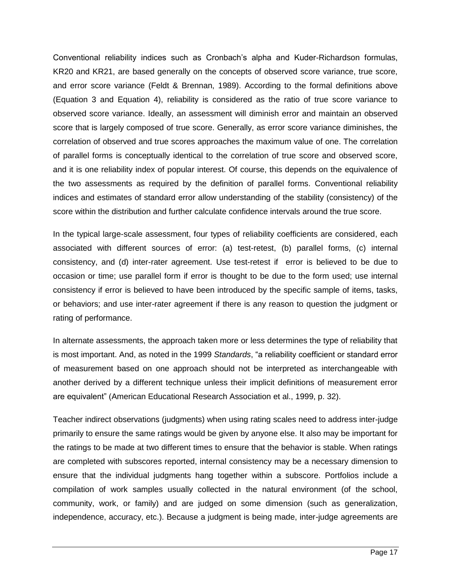Conventional reliability indices such as Cronbach's alpha and Kuder-Richardson formulas, KR20 and KR21, are based generally on the concepts of observed score variance, true score, and error score variance (Feldt & Brennan, 1989). According to the formal definitions above (Equation 3 and Equation 4), reliability is considered as the ratio of true score variance to observed score variance. Ideally, an assessment will diminish error and maintain an observed score that is largely composed of true score. Generally, as error score variance diminishes, the correlation of observed and true scores approaches the maximum value of one. The correlation of parallel forms is conceptually identical to the correlation of true score and observed score, and it is one reliability index of popular interest. Of course, this depends on the equivalence of the two assessments as required by the definition of parallel forms. Conventional reliability indices and estimates of standard error allow understanding of the stability (consistency) of the score within the distribution and further calculate confidence intervals around the true score.

In the typical large-scale assessment, four types of reliability coefficients are considered, each associated with different sources of error: (a) test-retest, (b) parallel forms, (c) internal consistency, and (d) inter-rater agreement. Use test-retest if error is believed to be due to occasion or time; use parallel form if error is thought to be due to the form used; use internal consistency if error is believed to have been introduced by the specific sample of items, tasks, or behaviors; and use inter-rater agreement if there is any reason to question the judgment or rating of performance.

In alternate assessments, the approach taken more or less determines the type of reliability that is most important. And, as noted in the 1999 *Standards*, "a reliability coefficient or standard error of measurement based on one approach should not be interpreted as interchangeable with another derived by a different technique unless their implicit definitions of measurement error are equivalent" (American Educational Research Association et al., 1999, p. 32).

Teacher indirect observations (judgments) when using rating scales need to address inter-judge primarily to ensure the same ratings would be given by anyone else. It also may be important for the ratings to be made at two different times to ensure that the behavior is stable. When ratings are completed with subscores reported, internal consistency may be a necessary dimension to ensure that the individual judgments hang together within a subscore. Portfolios include a compilation of work samples usually collected in the natural environment (of the school, community, work, or family) and are judged on some dimension (such as generalization, independence, accuracy, etc.). Because a judgment is being made, inter-judge agreements are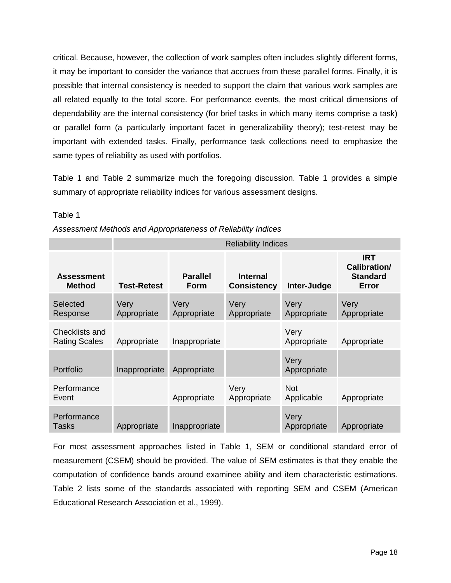critical. Because, however, the collection of work samples often includes slightly different forms, it may be important to consider the variance that accrues from these parallel forms. Finally, it is possible that internal consistency is needed to support the claim that various work samples are all related equally to the total score. For performance events, the most critical dimensions of dependability are the internal consistency (for brief tasks in which many items comprise a task) or parallel form (a particularly important facet in generalizability theory); test-retest may be important with extended tasks. Finally, performance task collections need to emphasize the same types of reliability as used with portfolios.

Table 1 and Table 2 summarize much the foregoing discussion. Table 1 provides a simple summary of appropriate reliability indices for various assessment designs.

|                                               | <b>Reliability Indices</b> |                                |                                       |                          |                                                        |
|-----------------------------------------------|----------------------------|--------------------------------|---------------------------------------|--------------------------|--------------------------------------------------------|
| <b>Assessment</b><br><b>Method</b>            | <b>Test-Retest</b>         | <b>Parallel</b><br><b>Form</b> | <b>Internal</b><br><b>Consistency</b> | Inter-Judge              | <b>IRT</b><br>Calibration/<br><b>Standard</b><br>Error |
| Selected<br>Response                          | Very<br>Appropriate        | Very<br>Appropriate            | Very<br>Appropriate                   | Very<br>Appropriate      | Very<br>Appropriate                                    |
| <b>Checklists and</b><br><b>Rating Scales</b> | Appropriate                | Inappropriate                  |                                       | Very<br>Appropriate      | Appropriate                                            |
| Portfolio                                     | Inappropriate              | Appropriate                    |                                       | Very<br>Appropriate      |                                                        |
| Performance<br>Event                          |                            | Appropriate                    | Very<br>Appropriate                   | <b>Not</b><br>Applicable | Appropriate                                            |
| Performance<br>Tasks                          | Appropriate                | Inappropriate                  |                                       | Very<br>Appropriate      | Appropriate                                            |

### Table 1

*Assessment Methods and Appropriateness of Reliability Indices* 

For most assessment approaches listed in Table 1, SEM or conditional standard error of measurement (CSEM) should be provided. The value of SEM estimates is that they enable the computation of confidence bands around examinee ability and item characteristic estimations. Table 2 lists some of the standards associated with reporting SEM and CSEM (American Educational Research Association et al., 1999).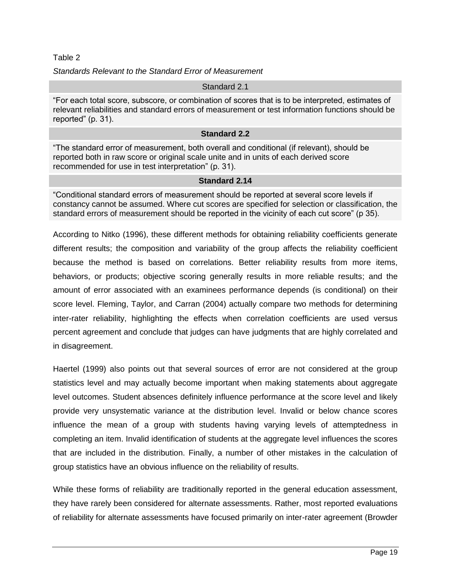### Table 2

*Standards Relevant to the Standard Error of Measurement* 

### Standard 2.1

"For each total score, subscore, or combination of scores that is to be interpreted, estimates of relevant reliabilities and standard errors of measurement or test information functions should be reported" (p. 31).

### **Standard 2.2**

"The standard error of measurement, both overall and conditional (if relevant), should be reported both in raw score or original scale unite and in units of each derived score recommended for use in test interpretation" (p. 31).

### **Standard 2.14**

"Conditional standard errors of measurement should be reported at several score levels if constancy cannot be assumed. Where cut scores are specified for selection or classification, the standard errors of measurement should be reported in the vicinity of each cut score" (p 35).

According to Nitko (1996), these different methods for obtaining reliability coefficients generate different results; the composition and variability of the group affects the reliability coefficient because the method is based on correlations. Better reliability results from more items, behaviors, or products; objective scoring generally results in more reliable results; and the amount of error associated with an examinees performance depends (is conditional) on their score level. Fleming, Taylor, and Carran (2004) actually compare two methods for determining inter-rater reliability, highlighting the effects when correlation coefficients are used versus percent agreement and conclude that judges can have judgments that are highly correlated and in disagreement.

Haertel (1999) also points out that several sources of error are not considered at the group statistics level and may actually become important when making statements about aggregate level outcomes. Student absences definitely influence performance at the score level and likely provide very unsystematic variance at the distribution level. Invalid or below chance scores influence the mean of a group with students having varying levels of attemptedness in completing an item. Invalid identification of students at the aggregate level influences the scores that are included in the distribution. Finally, a number of other mistakes in the calculation of group statistics have an obvious influence on the reliability of results.

While these forms of reliability are traditionally reported in the general education assessment, they have rarely been considered for alternate assessments. Rather, most reported evaluations of reliability for alternate assessments have focused primarily on inter-rater agreement (Browder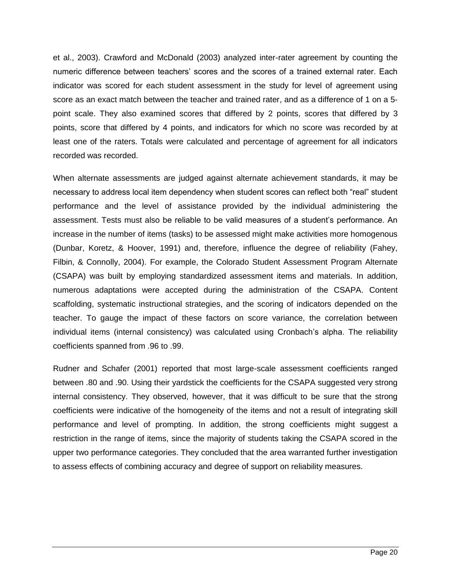et al., 2003). Crawford and McDonald (2003) analyzed inter-rater agreement by counting the numeric difference between teachers' scores and the scores of a trained external rater. Each indicator was scored for each student assessment in the study for level of agreement using score as an exact match between the teacher and trained rater, and as a difference of 1 on a 5 point scale. They also examined scores that differed by 2 points, scores that differed by 3 points, score that differed by 4 points, and indicators for which no score was recorded by at least one of the raters. Totals were calculated and percentage of agreement for all indicators recorded was recorded.

When alternate assessments are judged against alternate achievement standards, it may be necessary to address local item dependency when student scores can reflect both "real" student performance and the level of assistance provided by the individual administering the assessment. Tests must also be reliable to be valid measures of a student's performance. An increase in the number of items (tasks) to be assessed might make activities more homogenous (Dunbar, Koretz, & Hoover, 1991) and, therefore, influence the degree of reliability (Fahey, Filbin, & Connolly, 2004). For example, the Colorado Student Assessment Program Alternate (CSAPA) was built by employing standardized assessment items and materials. In addition, numerous adaptations were accepted during the administration of the CSAPA. Content scaffolding, systematic instructional strategies, and the scoring of indicators depended on the teacher. To gauge the impact of these factors on score variance, the correlation between individual items (internal consistency) was calculated using Cronbach's alpha. The reliability coefficients spanned from .96 to .99.

Rudner and Schafer (2001) reported that most large-scale assessment coefficients ranged between .80 and .90. Using their yardstick the coefficients for the CSAPA suggested very strong internal consistency. They observed, however, that it was difficult to be sure that the strong coefficients were indicative of the homogeneity of the items and not a result of integrating skill performance and level of prompting. In addition, the strong coefficients might suggest a restriction in the range of items, since the majority of students taking the CSAPA scored in the upper two performance categories. They concluded that the area warranted further investigation to assess effects of combining accuracy and degree of support on reliability measures.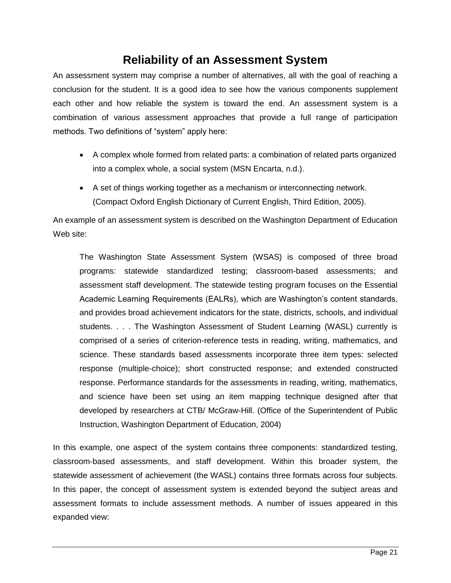# **Reliability of an Assessment System**

An assessment system may comprise a number of alternatives, all with the goal of reaching a conclusion for the student. It is a good idea to see how the various components supplement each other and how reliable the system is toward the end. An assessment system is a combination of various assessment approaches that provide a full range of participation methods. Two definitions of "system" apply here:

- A complex whole formed from related parts: a combination of related parts organized into a complex whole, a social system (MSN Encarta, n.d.).
- A set of things working together as a mechanism or interconnecting network. (Compact Oxford English Dictionary of Current English, Third Edition, 2005).

An example of an assessment system is described on the Washington Department of Education Web site:

The Washington State Assessment System (WSAS) is composed of three broad programs: statewide standardized testing; classroom-based assessments; and assessment staff development. The statewide testing program focuses on the Essential Academic Learning Requirements (EALRs), which are Washington's content standards, and provides broad achievement indicators for the state, districts, schools, and individual students. . . . The Washington Assessment of Student Learning (WASL) currently is comprised of a series of criterion-reference tests in reading, writing, mathematics, and science. These standards based assessments incorporate three item types: selected response (multiple-choice); short constructed response; and extended constructed response. Performance standards for the assessments in reading, writing, mathematics, and science have been set using an item mapping technique designed after that developed by researchers at CTB/ McGraw-Hill. (Office of the Superintendent of Public Instruction, Washington Department of Education, 2004)

In this example, one aspect of the system contains three components: standardized testing, classroom-based assessments, and staff development. Within this broader system, the statewide assessment of achievement (the WASL) contains three formats across four subjects. In this paper, the concept of assessment system is extended beyond the subject areas and assessment formats to include assessment methods. A number of issues appeared in this expanded view: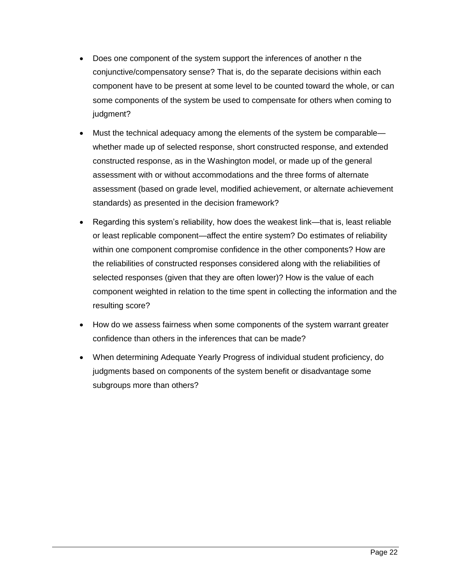- Does one component of the system support the inferences of another n the conjunctive/compensatory sense? That is, do the separate decisions within each component have to be present at some level to be counted toward the whole, or can some components of the system be used to compensate for others when coming to judgment?
- Must the technical adequacy among the elements of the system be comparable whether made up of selected response, short constructed response, and extended constructed response, as in the Washington model, or made up of the general assessment with or without accommodations and the three forms of alternate assessment (based on grade level, modified achievement, or alternate achievement standards) as presented in the decision framework?
- Regarding this system's reliability, how does the weakest link—that is, least reliable or least replicable component—affect the entire system? Do estimates of reliability within one component compromise confidence in the other components? How are the reliabilities of constructed responses considered along with the reliabilities of selected responses (given that they are often lower)? How is the value of each component weighted in relation to the time spent in collecting the information and the resulting score?
- How do we assess fairness when some components of the system warrant greater confidence than others in the inferences that can be made?
- When determining Adequate Yearly Progress of individual student proficiency, do judgments based on components of the system benefit or disadvantage some subgroups more than others?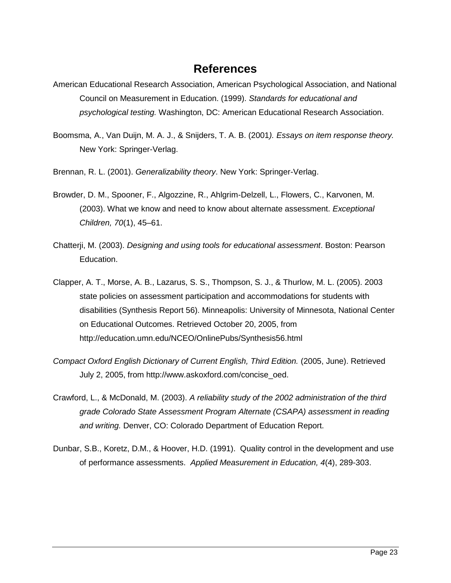## **References**

- American Educational Research Association, American Psychological Association, and National Council on Measurement in Education. (1999). *Standards for educational and psychological testing.* Washington, DC: American Educational Research Association.
- Boomsma, A., Van Duijn, M. A. J., & Snijders, T. A. B. (2001*). Essays on item response theory.* New York: Springer-Verlag.
- Brennan, R. L. (2001). *Generalizability theory*. New York: Springer-Verlag.
- Browder, D. M., Spooner, F., Algozzine, R., Ahlgrim-Delzell, L., Flowers, C., Karvonen, M. (2003). What we know and need to know about alternate assessment. *Exceptional Children, 70*(1), 45–61.
- Chatterji, M. (2003). *Designing and using tools for educational assessment*. Boston: Pearson Education.
- Clapper, A. T., Morse, A. B., Lazarus, S. S., Thompson, S. J., & Thurlow, M. L. (2005). 2003 state policies on assessment participation and accommodations for students with disabilities (Synthesis Report 56). Minneapolis: University of Minnesota, National Center on Educational Outcomes. Retrieved October 20, 2005, from <http://education.umn.edu/NCEO/OnlinePubs/Synthesis56.html>
- *Compact Oxford English Dictionary of Current English, Third Edition.* (2005, June). Retrieved July 2, 2005, from [http://www.askoxford.com/concise\\_oed.](http://www.askoxford.com/concise_oed)
- Crawford, L., & McDonald, M. (2003). *A reliability study of the 2002 administration of the third grade Colorado State Assessment Program Alternate (CSAPA) assessment in reading and writing.* Denver, CO: Colorado Department of Education Report.
- Dunbar, S.B., Koretz, D.M., & Hoover, H.D. (1991). Quality control in the development and use of performance assessments. *Applied Measurement in Education, 4*(4), 289-303.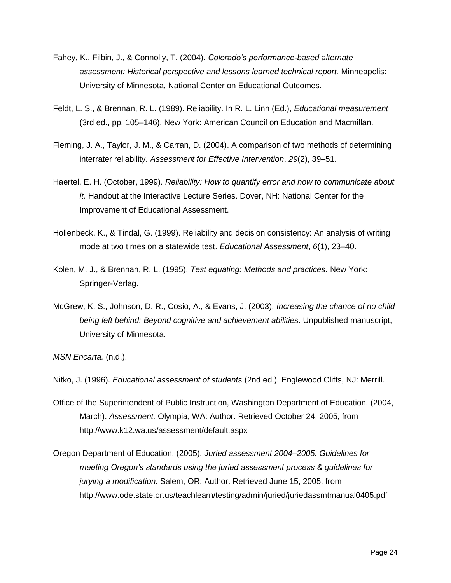- Fahey, K., Filbin, J., & Connolly, T. (2004). *Colorado's performance-based alternate assessment: Historical perspective and lessons learned technical report.* Minneapolis: University of Minnesota, National Center on Educational Outcomes.
- Feldt, L. S., & Brennan, R. L. (1989). Reliability. In R. L. Linn (Ed.), *Educational measurement* (3rd ed., pp. 105–146). New York: American Council on Education and Macmillan.
- Fleming, J. A., Taylor, J. M., & Carran, D. (2004). A comparison of two methods of determining interrater reliability. *Assessment for Effective Intervention*, *29*(2), 39–51.
- Haertel, E. H. (October, 1999). *Reliability: How to quantify error and how to communicate about it.* Handout at the Interactive Lecture Series. Dover, NH: National Center for the Improvement of Educational Assessment.
- Hollenbeck, K., & Tindal, G. (1999). Reliability and decision consistency: An analysis of writing mode at two times on a statewide test. *Educational Assessment*, *6*(1), 23–40.
- Kolen, M. J., & Brennan, R. L. (1995). *Test equating: Methods and practices*. New York: Springer-Verlag.
- McGrew, K. S., Johnson, D. R., Cosio, A., & Evans, J. (2003). *Increasing the chance of no child being left behind: Beyond cognitive and achievement abilities*. Unpublished manuscript, University of Minnesota.

*MSN Encarta.* (n.d.).

Nitko, J. (1996). *Educational assessment of students* (2nd ed.). Englewood Cliffs, NJ: Merrill.

- Office of the Superintendent of Public Instruction, Washington Department of Education. (2004, March). *Assessment.* Olympia, WA: Author. Retrieved October 24, 2005, from <http://www.k12.wa.us/assessment/default.aspx>
- Oregon Department of Education. (2005). *Juried assessment 2004–2005: Guidelines for meeting Oregon's standards using the juried assessment process & guidelines for jurying a modification.* Salem, OR: Author. Retrieved June 15, 2005, from <http://www.ode.state.or.us/teachlearn/testing/admin/juried/juriedassmtmanual0405.pdf>